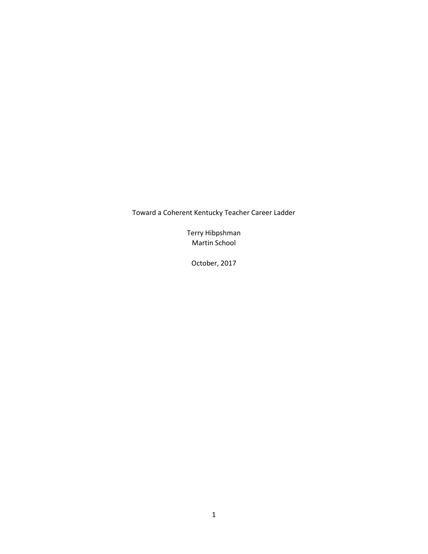Toward a Coherent Kentucky Teacher Career Ladder

Terry Hibpshman Martin School

October, 2017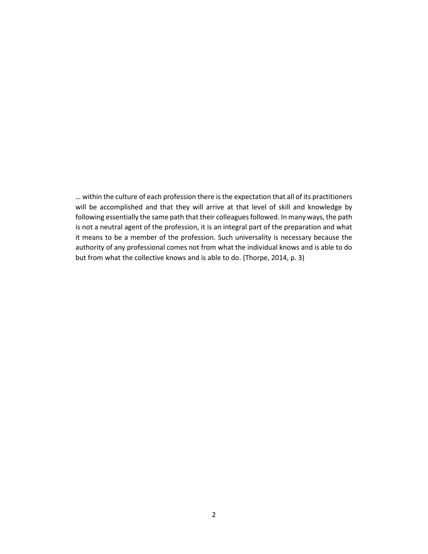… within the culture of each profession there is the expectation that all of its practitioners will be accomplished and that they will arrive at that level of skill and knowledge by following essentially the same path that their colleagues followed. In many ways, the path is not a neutral agent of the profession, it is an integral part of the preparation and what it means to be a member of the profession. Such universality is necessary because the authority of any professional comes not from what the individual knows and is able to do but from what the collective knows and is able to do. (Thorpe, 2014, p. 3)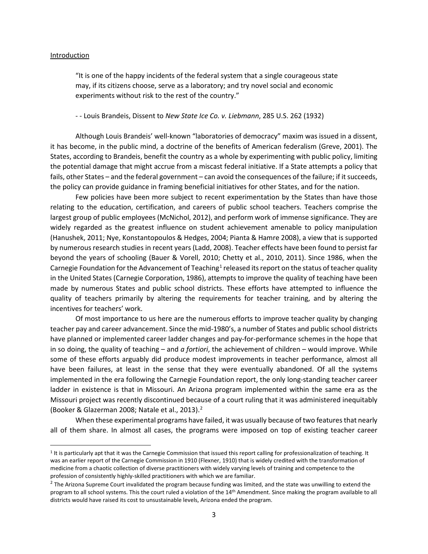#### Introduction

"It is one of the happy incidents of the federal system that a single courageous state may, if its citizens choose, serve as a laboratory; and try novel social and economic experiments without risk to the rest of the country."

- - Louis Brandeis, Dissent to *New State Ice Co. v. Liebmann*, 285 U.S. 262 (1932)

Although Louis Brandeis' well-known "laboratories of democracy" maxim was issued in a dissent, it has become, in the public mind, a doctrine of the benefits of American federalism (Greve, 2001). The States, according to Brandeis, benefit the country as a whole by experimenting with public policy, limiting the potential damage that might accrue from a miscast federal initiative. If a State attempts a policy that fails, other States – and the federal government – can avoid the consequences of the failure; if it succeeds, the policy can provide guidance in framing beneficial initiatives for other States, and for the nation.

Few policies have been more subject to recent experimentation by the States than have those relating to the education, certification, and careers of public school teachers. Teachers comprise the largest group of public employees (McNichol, 2012), and perform work of immense significance. They are widely regarded as the greatest influence on student achievement amenable to policy manipulation (Hanushek, 2011; Nye, Konstantopoulos & Hedges, 2004; Pianta & Hamre 2008), a view that is supported by numerous research studies in recent years (Ladd, 2008). Teacher effects have been found to persist far beyond the years of schooling (Bauer & Vorell, 2010; Chetty et al., 2010, 2011). Since 1986, when the Carnegie Foundation for the Advancement of Teaching<sup>[1](#page-2-0)</sup> released its report on the status of teacher quality in the United States (Carnegie Corporation, 1986), attempts to improve the quality of teaching have been made by numerous States and public school districts. These efforts have attempted to influence the quality of teachers primarily by altering the requirements for teacher training, and by altering the incentives for teachers' work.

Of most importance to us here are the numerous efforts to improve teacher quality by changing teacher pay and career advancement. Since the mid-1980's, a number of States and public school districts have planned or implemented career ladder changes and pay-for-performance schemes in the hope that in so doing, the quality of teaching – and *a fortiori*, the achievement of children – would improve. While some of these efforts arguably did produce modest improvements in teacher performance, almost all have been failures, at least in the sense that they were eventually abandoned. Of all the systems implemented in the era following the Carnegie Foundation report, the only long-standing teacher career ladder in existence is that in Missouri. An Arizona program implemented within the same era as the Missouri project was recently discontinued because of a court ruling that it was administered inequitably (Booker & Glazerman 2008; Natale et al., 2013). [2](#page-2-1)

When these experimental programs have failed, it was usually because of two features that nearly all of them share. In almost all cases, the programs were imposed on top of existing teacher career

<span id="page-2-0"></span><sup>&</sup>lt;sup>1</sup> It is particularly apt that it was the Carnegie Commission that issued this report calling for professionalization of teaching. It was an earlier report of the Carnegie Commission in 1910 (Flexner, 1910) that is widely credited with the transformation of medicine from a chaotic collection of diverse practitioners with widely varying levels of training and competence to the profession of consistently highly-skilled practitioners with which we are familiar.

<span id="page-2-1"></span><sup>&</sup>lt;sup>2</sup> The Arizona Supreme Court invalidated the program because funding was limited, and the state was unwilling to extend the program to all school systems. This the court ruled a violation of the 14th Amendment. Since making the program available to all districts would have raised its cost to unsustainable levels, Arizona ended the program.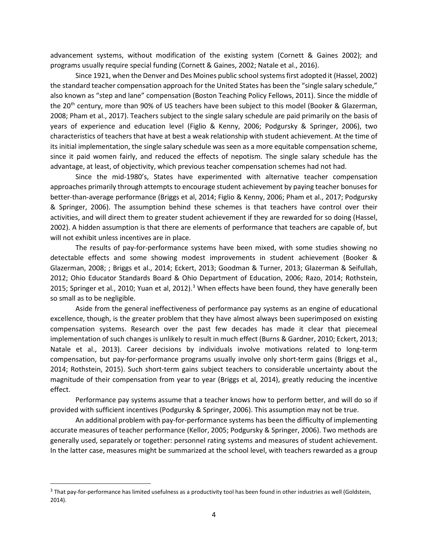advancement systems, without modification of the existing system (Cornett & Gaines 2002); and programs usually require special funding (Cornett & Gaines, 2002; Natale et al., 2016).

Since 1921, when the Denver and Des Moines public school systems first adopted it (Hassel, 2002) the standard teacher compensation approach for the United States has been the "single salary schedule," also known as "step and lane" compensation (Boston Teaching Policy Fellows, 2011). Since the middle of the 20<sup>th</sup> century, more than 90% of US teachers have been subject to this model (Booker & Glazerman, 2008; Pham et al., 2017). Teachers subject to the single salary schedule are paid primarily on the basis of years of experience and education level (Figlio & Kenny, 2006; Podgursky & Springer, 2006), two characteristics of teachers that have at best a weak relationship with student achievement. At the time of its initial implementation, the single salary schedule was seen as a more equitable compensation scheme, since it paid women fairly, and reduced the effects of nepotism. The single salary schedule has the advantage, at least, of objectivity, which previous teacher compensation schemes had not had.

Since the mid-1980's, States have experimented with alternative teacher compensation approaches primarily through attempts to encourage student achievement by paying teacher bonuses for better-than-average performance (Briggs et al, 2014; Figlio & Kenny, 2006; Pham et al., 2017; Podgursky & Springer, 2006). The assumption behind these schemes is that teachers have control over their activities, and will direct them to greater student achievement if they are rewarded for so doing (Hassel, 2002). A hidden assumption is that there are elements of performance that teachers are capable of, but will not exhibit unless incentives are in place.

The results of pay-for-performance systems have been mixed, with some studies showing no detectable effects and some showing modest improvements in student achievement (Booker & Glazerman, 2008; ; Briggs et al., 2014; Eckert, 2013; Goodman & Turner, 2013; Glazerman & Seifullah, 2012; Ohio Educator Standards Board & Ohio Department of Education, 2006; Razo, 2014; Rothstein, 2015; Springer et al., 2010; Yuan et al, 2012).<sup>[3](#page-3-0)</sup> When effects have been found, they have generally been so small as to be negligible.

Aside from the general ineffectiveness of performance pay systems as an engine of educational excellence, though, is the greater problem that they have almost always been superimposed on existing compensation systems. Research over the past few decades has made it clear that piecemeal implementation of such changes is unlikely to result in much effect (Burns & Gardner, 2010; Eckert, 2013; Natale et al., 2013). Career decisions by individuals involve motivations related to long-term compensation, but pay-for-performance programs usually involve only short-term gains (Briggs et al., 2014; Rothstein, 2015). Such short-term gains subject teachers to considerable uncertainty about the magnitude of their compensation from year to year (Briggs et al, 2014), greatly reducing the incentive effect.

Performance pay systems assume that a teacher knows how to perform better, and will do so if provided with sufficient incentives (Podgursky & Springer, 2006). This assumption may not be true.

An additional problem with pay-for-performance systems has been the difficulty of implementing accurate measures of teacher performance (Kellor, 2005; Podgursky & Springer, 2006). Two methods are generally used, separately or together: personnel rating systems and measures of student achievement. In the latter case, measures might be summarized at the school level, with teachers rewarded as a group

<span id="page-3-0"></span><sup>&</sup>lt;sup>3</sup> That pay-for-performance has limited usefulness as a productivity tool has been found in other industries as well (Goldstein, 2014).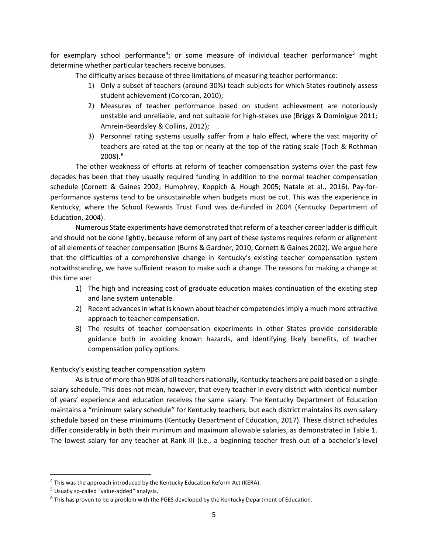for exemplary school performance<sup>[4](#page-4-0)</sup>; or some measure of individual teacher performance<sup>[5](#page-4-1)</sup> might determine whether particular teachers receive bonuses.

The difficulty arises because of three limitations of measuring teacher performance:

- 1) Only a subset of teachers (around 30%) teach subjects for which States routinely assess student achievement (Corcoran, 2010);
- 2) Measures of teacher performance based on student achievement are notoriously unstable and unreliable, and not suitable for high-stakes use (Briggs & Dominigue 2011; Amrein-Beardsley & Collins, 2012);
- 3) Personnel rating systems usually suffer from a halo effect, where the vast majority of teachers are rated at the top or nearly at the top of the rating scale (Toch & Rothman 2008). [6](#page-4-2)

The other weakness of efforts at reform of teacher compensation systems over the past few decades has been that they usually required funding in addition to the normal teacher compensation schedule (Cornett & Gaines 2002; Humphrey, Koppich & Hough 2005; Natale et al., 2016). Pay-forperformance systems tend to be unsustainable when budgets must be cut. This was the experience in Kentucky, where the School Rewards Trust Fund was de-funded in 2004 (Kentucky Department of Education, 2004).

Numerous State experiments have demonstrated that reform of a teacher career ladder is difficult and should not be done lightly, because reform of any part of these systems requires reform or alignment of all elements of teacher compensation (Burns & Gardner, 2010; Cornett & Gaines 2002). We argue here that the difficulties of a comprehensive change in Kentucky's existing teacher compensation system notwithstanding, we have sufficient reason to make such a change. The reasons for making a change at this time are:

- 1) The high and increasing cost of graduate education makes continuation of the existing step and lane system untenable.
- 2) Recent advances in what is known about teacher competencies imply a much more attractive approach to teacher compensation.
- 3) The results of teacher compensation experiments in other States provide considerable guidance both in avoiding known hazards, and identifying likely benefits, of teacher compensation policy options.

# Kentucky's existing teacher compensation system

As is true of more than 90% of all teachers nationally, Kentucky teachers are paid based on a single salary schedule. This does not mean, however, that every teacher in every district with identical number of years' experience and education receives the same salary. The Kentucky Department of Education maintains a "minimum salary schedule" for Kentucky teachers, but each district maintains its own salary schedule based on these minimums (Kentucky Department of Education, 2017). These district schedules differ considerably in both their minimum and maximum allowable salaries, as demonstrated in Table 1. The lowest salary for any teacher at Rank III (i.e., a beginning teacher fresh out of a bachelor's-level

<span id="page-4-0"></span> $4$  This was the approach introduced by the Kentucky Education Reform Act (KERA).

<span id="page-4-1"></span><sup>5</sup> Usually so-called "value-added" analysis.

<span id="page-4-2"></span> $6$  This has proven to be a problem with the PGES developed by the Kentucky Department of Education.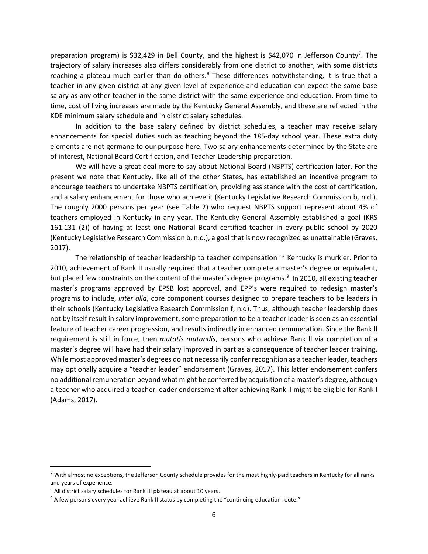preparation program) is \$32,429 in Bell County, and the highest is \$42,0[7](#page-5-0)0 in Jefferson County<sup>7</sup>. The trajectory of salary increases also differs considerably from one district to another, with some districts reaching a plateau much earlier than do others. $8$  These differences notwithstanding, it is true that a teacher in any given district at any given level of experience and education can expect the same base salary as any other teacher in the same district with the same experience and education. From time to time, cost of living increases are made by the Kentucky General Assembly, and these are reflected in the KDE minimum salary schedule and in district salary schedules.

In addition to the base salary defined by district schedules, a teacher may receive salary enhancements for special duties such as teaching beyond the 185-day school year. These extra duty elements are not germane to our purpose here. Two salary enhancements determined by the State are of interest, National Board Certification, and Teacher Leadership preparation.

We will have a great deal more to say about National Board (NBPTS) certification later. For the present we note that Kentucky, like all of the other States, has established an incentive program to encourage teachers to undertake NBPTS certification, providing assistance with the cost of certification, and a salary enhancement for those who achieve it (Kentucky Legislative Research Commission b, n.d.). The roughly 2000 persons per year (see Table 2) who request NBPTS support represent about 4% of teachers employed in Kentucky in any year. The Kentucky General Assembly established a goal (KRS 161.131 (2)) of having at least one National Board certified teacher in every public school by 2020 (Kentucky Legislative Research Commission b, n.d.), a goal that is now recognized as unattainable (Graves, 2017).

The relationship of teacher leadership to teacher compensation in Kentucky is murkier. Prior to 2010, achievement of Rank II usually required that a teacher complete a master's degree or equivalent, but placed few constraints on the content of the master's degree programs.<sup>[9](#page-5-2)</sup> In 2010, all existing teacher master's programs approved by EPSB lost approval, and EPP's were required to redesign master's programs to include, *inter alia*, core component courses designed to prepare teachers to be leaders in their schools (Kentucky Legislative Research Commission f, n.d). Thus, although teacher leadership does not by itself result in salary improvement, some preparation to be a teacher leader is seen as an essential feature of teacher career progression, and results indirectly in enhanced remuneration. Since the Rank II requirement is still in force, then *mutatis mutandis*, persons who achieve Rank II via completion of a master's degree will have had their salary improved in part as a consequence of teacher leader training. While most approved master's degrees do not necessarily confer recognition as a teacher leader, teachers may optionally acquire a "teacher leader" endorsement (Graves, 2017). This latter endorsement confers no additional remuneration beyond what might be conferred by acquisition of a master's degree, although a teacher who acquired a teacher leader endorsement after achieving Rank II might be eligible for Rank I (Adams, 2017).

<span id="page-5-0"></span> $7$  With almost no exceptions, the Jefferson County schedule provides for the most highly-paid teachers in Kentucky for all ranks and years of experience.

<span id="page-5-1"></span><sup>8</sup> All district salary schedules for Rank III plateau at about 10 years.

<span id="page-5-2"></span> $9$  A few persons every year achieve Rank II status by completing the "continuing education route."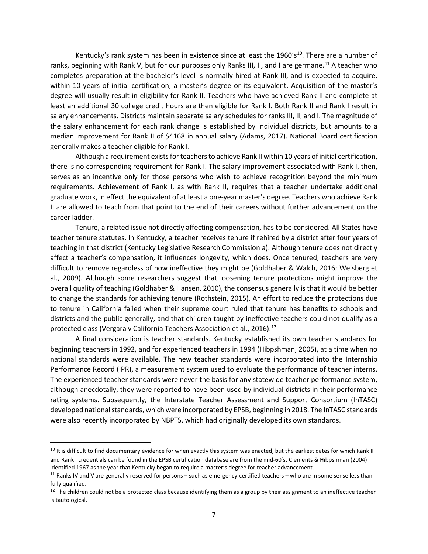Kentucky's rank system has been in existence since at least the 1960's<sup>[10](#page-6-0)</sup>. There are a number of ranks, beginning with Rank V, but for our purposes only Ranks III, II, and I are germane.<sup>[11](#page-6-1)</sup> A teacher who completes preparation at the bachelor's level is normally hired at Rank III, and is expected to acquire, within 10 years of initial certification, a master's degree or its equivalent. Acquisition of the master's degree will usually result in eligibility for Rank II. Teachers who have achieved Rank II and complete at least an additional 30 college credit hours are then eligible for Rank I. Both Rank II and Rank I result in salary enhancements. Districts maintain separate salary schedules for ranks III, II, and I. The magnitude of the salary enhancement for each rank change is established by individual districts, but amounts to a median improvement for Rank II of \$4168 in annual salary (Adams, 2017). National Board certification generally makes a teacher eligible for Rank I.

Although a requirement exists for teachers to achieve Rank II within 10 years of initial certification, there is no corresponding requirement for Rank I. The salary improvement associated with Rank I, then, serves as an incentive only for those persons who wish to achieve recognition beyond the minimum requirements. Achievement of Rank I, as with Rank II, requires that a teacher undertake additional graduate work, in effect the equivalent of at least a one-year master's degree. Teachers who achieve Rank II are allowed to teach from that point to the end of their careers without further advancement on the career ladder.

Tenure, a related issue not directly affecting compensation, has to be considered. All States have teacher tenure statutes. In Kentucky, a teacher receives tenure if rehired by a district after four years of teaching in that district (Kentucky Legislative Research Commission a). Although tenure does not directly affect a teacher's compensation, it influences longevity, which does. Once tenured, teachers are very difficult to remove regardless of how ineffective they might be (Goldhaber & Walch, 2016; Weisberg et al., 2009). Although some researchers suggest that loosening tenure protections might improve the overall quality of teaching (Goldhaber & Hansen, 2010), the consensus generally is that it would be better to change the standards for achieving tenure (Rothstein, 2015). An effort to reduce the protections due to tenure in California failed when their supreme court ruled that tenure has benefits to schools and districts and the public generally, and that children taught by ineffective teachers could not qualify as a protected class (Vergara v California Teachers Association et al., 2016).<sup>[12](#page-6-2)</sup>

A final consideration is teacher standards. Kentucky established its own teacher standards for beginning teachers in 1992, and for experienced teachers in 1994 (Hibpshman, 2005), at a time when no national standards were available. The new teacher standards were incorporated into the Internship Performance Record (IPR), a measurement system used to evaluate the performance of teacher interns. The experienced teacher standards were never the basis for any statewide teacher performance system, although anecdotally, they were reported to have been used by individual districts in their performance rating systems. Subsequently, the Interstate Teacher Assessment and Support Consortium (InTASC) developed national standards, which were incorporated by EPSB, beginning in 2018. The InTASC standards were also recently incorporated by NBPTS, which had originally developed its own standards.

<span id="page-6-0"></span><sup>&</sup>lt;sup>10</sup> It is difficult to find documentary evidence for when exactly this system was enacted, but the earliest dates for which Rank II and Rank I credentials can be found in the EPSB certification database are from the mid-60's. Clements & Hibpshman (2004) identified 1967 as the year that Kentucky began to require a master's degree for teacher advancement.

<span id="page-6-1"></span> $11$  Ranks IV and V are generally reserved for persons – such as emergency-certified teachers – who are in some sense less than fully qualified.

<span id="page-6-2"></span> $12$  The children could not be a protected class because identifying them as a group by their assignment to an ineffective teacher is tautological.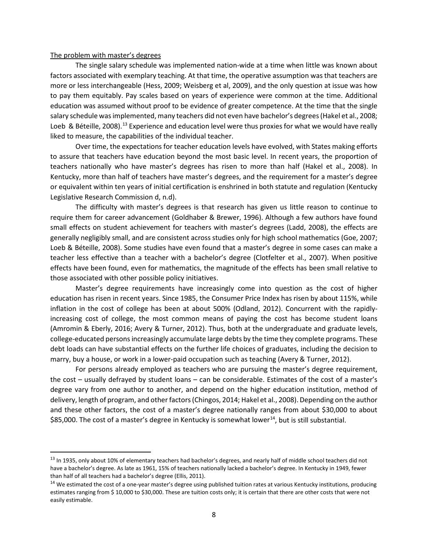#### The problem with master's degrees

The single salary schedule was implemented nation-wide at a time when little was known about factors associated with exemplary teaching. At that time, the operative assumption was that teachers are more or less interchangeable (Hess, 2009; Weisberg et al, 2009), and the only question at issue was how to pay them equitably. Pay scales based on years of experience were common at the time. Additional education was assumed without proof to be evidence of greater competence. At the time that the single salary schedule was implemented, many teachers did not even have bachelor's degrees (Hakel et al., 2008; Loeb & Béteille, 2008).<sup>[13](#page-7-0)</sup> Experience and education level were thus proxies for what we would have really liked to measure, the capabilities of the individual teacher.

Over time, the expectations for teacher education levels have evolved, with States making efforts to assure that teachers have education beyond the most basic level. In recent years, the proportion of teachers nationally who have master's degrees has risen to more than half (Hakel et al., 2008). In Kentucky, more than half of teachers have master's degrees, and the requirement for a master's degree or equivalent within ten years of initial certification is enshrined in both statute and regulation (Kentucky Legislative Research Commission d, n.d).

The difficulty with master's degrees is that research has given us little reason to continue to require them for career advancement (Goldhaber & Brewer, 1996). Although a few authors have found small effects on student achievement for teachers with master's degrees (Ladd, 2008), the effects are generally negligibly small, and are consistent across studies only for high school mathematics (Goe, 2007; Loeb & Béteille, 2008). Some studies have even found that a master's degree in some cases can make a teacher less effective than a teacher with a bachelor's degree (Clotfelter et al., 2007). When positive effects have been found, even for mathematics, the magnitude of the effects has been small relative to those associated with other possible policy initiatives.

Master's degree requirements have increasingly come into question as the cost of higher education has risen in recent years. Since 1985, the Consumer Price Index has risen by about 115%, while inflation in the cost of college has been at about 500% (Odland, 2012). Concurrent with the rapidlyincreasing cost of college, the most common means of paying the cost has become student loans (Amromin & Eberly, 2016; Avery & Turner, 2012). Thus, both at the undergraduate and graduate levels, college-educated personsincreasingly accumulate large debts by the time they complete programs. These debt loads can have substantial effects on the further life choices of graduates, including the decision to marry, buy a house, or work in a lower-paid occupation such as teaching (Avery & Turner, 2012).

For persons already employed as teachers who are pursuing the master's degree requirement, the cost – usually defrayed by student loans – can be considerable. Estimates of the cost of a master's degree vary from one author to another, and depend on the higher education institution, method of delivery, length of program, and other factors (Chingos, 2014; Hakel et al., 2008). Depending on the author and these other factors, the cost of a master's degree nationally ranges from about \$30,000 to about \$85,000. The cost of a master's degree in Kentucky is somewhat lower $^{14}$ , but is still substantial.

<span id="page-7-0"></span><sup>&</sup>lt;sup>13</sup> In 1935, only about 10% of elementary teachers had bachelor's degrees, and nearly half of middle school teachers did not have a bachelor's degree. As late as 1961, 15% of teachers nationally lacked a bachelor's degree. In Kentucky in 1949, fewer than half of all teachers had a bachelor's degree (Ellis, 2011).

<span id="page-7-1"></span><sup>&</sup>lt;sup>14</sup> We estimated the cost of a one-year master's degree using published tuition rates at various Kentucky institutions, producing estimates ranging from \$ 10,000 to \$30,000. These are tuition costs only; it is certain that there are other costs that were not easily estimable.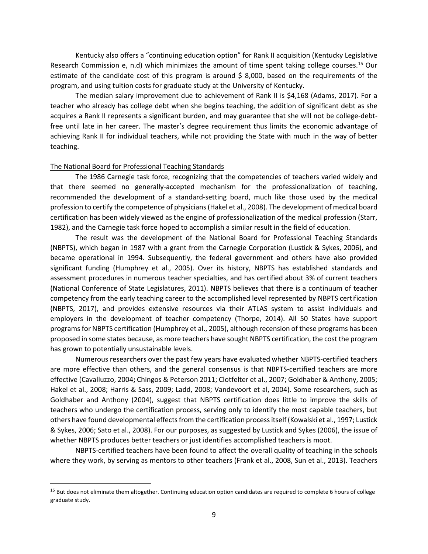Kentucky also offers a "continuing education option" for Rank II acquisition (Kentucky Legislative Research Commission e, n.d) which minimizes the amount of time spent taking college courses.<sup>[15](#page-8-0)</sup> Our estimate of the candidate cost of this program is around  $\frac{1}{2}$  8,000, based on the requirements of the program, and using tuition costs for graduate study at the University of Kentucky.

The median salary improvement due to achievement of Rank II is \$4,168 (Adams, 2017). For a teacher who already has college debt when she begins teaching, the addition of significant debt as she acquires a Rank II represents a significant burden, and may guarantee that she will not be college-debtfree until late in her career. The master's degree requirement thus limits the economic advantage of achieving Rank II for individual teachers, while not providing the State with much in the way of better teaching.

### The National Board for Professional Teaching Standards

The 1986 Carnegie task force, recognizing that the competencies of teachers varied widely and that there seemed no generally-accepted mechanism for the professionalization of teaching, recommended the development of a standard-setting board, much like those used by the medical profession to certify the competence of physicians (Hakel et al., 2008). The development of medical board certification has been widely viewed as the engine of professionalization of the medical profession (Starr, 1982), and the Carnegie task force hoped to accomplish a similar result in the field of education.

The result was the development of the National Board for Professional Teaching Standards (NBPTS), which began in 1987 with a grant from the Carnegie Corporation (Lustick & Sykes, 2006), and became operational in 1994. Subsequently, the federal government and others have also provided significant funding (Humphrey et al., 2005). Over its history, NBPTS has established standards and assessment procedures in numerous teacher specialties, and has certified about 3% of current teachers (National Conference of State Legislatures, 2011). NBPTS believes that there is a continuum of teacher competency from the early teaching career to the accomplished level represented by NBPTS certification (NBPTS, 2017), and provides extensive resources via their ATLAS system to assist individuals and employers in the development of teacher competency (Thorpe, 2014). All 50 States have support programs for NBPTS certification (Humphrey et al., 2005), although recension of these programs has been proposed in some states because, as more teachers have sought NBPTS certification, the cost the program has grown to potentially unsustainable levels.

Numerous researchers over the past few years have evaluated whether NBPTS-certified teachers are more effective than others, and the general consensus is that NBPTS-certified teachers are more effective (Cavalluzzo, 2004**;** Chingos & Peterson 2011; Clotfelter et al., 2007; Goldhaber & Anthony, 2005; Hakel et al., 2008; Harris & Sass, 2009; Ladd, 2008; Vandevoort et al, 2004). Some researchers, such as Goldhaber and Anthony (2004), suggest that NBPTS certification does little to improve the skills of teachers who undergo the certification process, serving only to identify the most capable teachers, but others have found developmental effects from the certification process itself (Kowalski et al., 1997; Lustick & Sykes, 2006; Sato et al., 2008). For our purposes, as suggested by Lustick and Sykes (2006), the issue of whether NBPTS produces better teachers or just identifies accomplished teachers is moot.

NBPTS-certified teachers have been found to affect the overall quality of teaching in the schools where they work, by serving as mentors to other teachers (Frank et al., 2008, Sun et al., 2013). Teachers

<span id="page-8-0"></span><sup>&</sup>lt;sup>15</sup> But does not eliminate them altogether. Continuing education option candidates are required to complete 6 hours of college graduate study.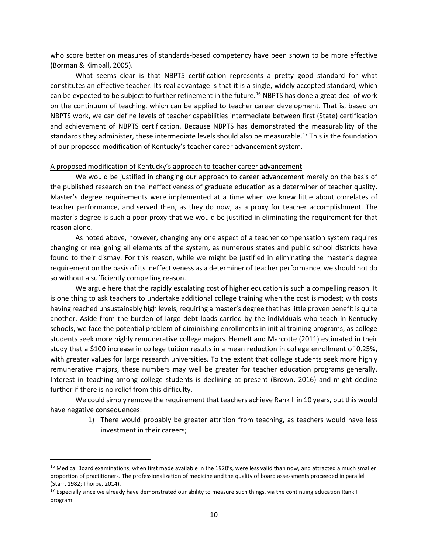who score better on measures of standards-based competency have been shown to be more effective (Borman & Kimball, 2005).

What seems clear is that NBPTS certification represents a pretty good standard for what constitutes an effective teacher. Its real advantage is that it is a single, widely accepted standard, which can be expected to be subject to further refinement in the future.<sup>[16](#page-9-0)</sup> NBPTS has done a great deal of work on the continuum of teaching, which can be applied to teacher career development. That is, based on NBPTS work, we can define levels of teacher capabilities intermediate between first (State) certification and achievement of NBPTS certification. Because NBPTS has demonstrated the measurability of the standards they administer, these intermediate levels should also be measurable.<sup>[17](#page-9-1)</sup> This is the foundation of our proposed modification of Kentucky's teacher career advancement system.

### A proposed modification of Kentucky's approach to teacher career advancement

We would be justified in changing our approach to career advancement merely on the basis of the published research on the ineffectiveness of graduate education as a determiner of teacher quality. Master's degree requirements were implemented at a time when we knew little about correlates of teacher performance, and served then, as they do now, as a proxy for teacher accomplishment. The master's degree is such a poor proxy that we would be justified in eliminating the requirement for that reason alone.

As noted above, however, changing any one aspect of a teacher compensation system requires changing or realigning all elements of the system, as numerous states and public school districts have found to their dismay. For this reason, while we might be justified in eliminating the master's degree requirement on the basis of its ineffectiveness as a determiner of teacher performance, we should not do so without a sufficiently compelling reason.

We argue here that the rapidly escalating cost of higher education is such a compelling reason. It is one thing to ask teachers to undertake additional college training when the cost is modest; with costs having reached unsustainably high levels, requiring a master's degree that has little proven benefit is quite another. Aside from the burden of large debt loads carried by the individuals who teach in Kentucky schools, we face the potential problem of diminishing enrollments in initial training programs, as college students seek more highly remunerative college majors. Hemelt and Marcotte (2011) estimated in their study that a \$100 increase in college tuition results in a mean reduction in college enrollment of 0.25%, with greater values for large research universities. To the extent that college students seek more highly remunerative majors, these numbers may well be greater for teacher education programs generally. Interest in teaching among college students is declining at present (Brown, 2016) and might decline further if there is no relief from this difficulty.

We could simply remove the requirement that teachers achieve Rank II in 10 years, but this would have negative consequences:

> 1) There would probably be greater attrition from teaching, as teachers would have less investment in their careers;

<span id="page-9-0"></span><sup>&</sup>lt;sup>16</sup> Medical Board examinations, when first made available in the 1920's, were less valid than now, and attracted a much smaller proportion of practitioners. The professionalization of medicine and the quality of board assessments proceeded in parallel (Starr, 1982; Thorpe, 2014).

<span id="page-9-1"></span><sup>&</sup>lt;sup>17</sup> Especially since we already have demonstrated our ability to measure such things, via the continuing education Rank II program.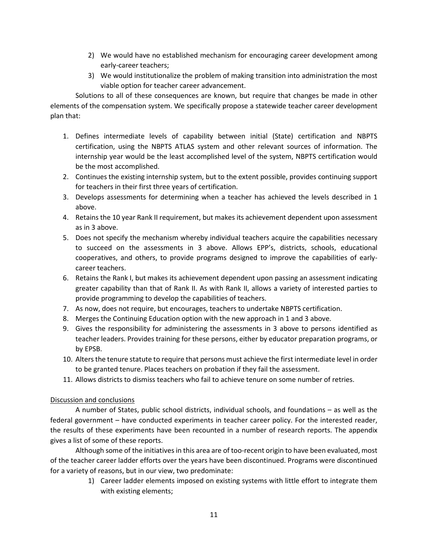- 2) We would have no established mechanism for encouraging career development among early-career teachers;
- 3) We would institutionalize the problem of making transition into administration the most viable option for teacher career advancement.

Solutions to all of these consequences are known, but require that changes be made in other elements of the compensation system. We specifically propose a statewide teacher career development plan that:

- 1. Defines intermediate levels of capability between initial (State) certification and NBPTS certification, using the NBPTS ATLAS system and other relevant sources of information. The internship year would be the least accomplished level of the system, NBPTS certification would be the most accomplished.
- 2. Continues the existing internship system, but to the extent possible, provides continuing support for teachers in their first three years of certification.
- 3. Develops assessments for determining when a teacher has achieved the levels described in 1 above.
- 4. Retains the 10 year Rank II requirement, but makes its achievement dependent upon assessment as in 3 above.
- 5. Does not specify the mechanism whereby individual teachers acquire the capabilities necessary to succeed on the assessments in 3 above. Allows EPP's, districts, schools, educational cooperatives, and others, to provide programs designed to improve the capabilities of earlycareer teachers.
- 6. Retains the Rank I, but makes its achievement dependent upon passing an assessment indicating greater capability than that of Rank II. As with Rank II, allows a variety of interested parties to provide programming to develop the capabilities of teachers.
- 7. As now, does not require, but encourages, teachers to undertake NBPTS certification.
- 8. Merges the Continuing Education option with the new approach in 1 and 3 above.
- 9. Gives the responsibility for administering the assessments in 3 above to persons identified as teacher leaders. Provides training for these persons, either by educator preparation programs, or by EPSB.
- 10. Alters the tenure statute to require that persons must achieve the first intermediate level in order to be granted tenure. Places teachers on probation if they fail the assessment.
- 11. Allows districts to dismiss teachers who fail to achieve tenure on some number of retries.

# Discussion and conclusions

A number of States, public school districts, individual schools, and foundations – as well as the federal government – have conducted experiments in teacher career policy. For the interested reader, the results of these experiments have been recounted in a number of research reports. The appendix gives a list of some of these reports.

Although some of the initiatives in this area are of too-recent origin to have been evaluated, most of the teacher career ladder efforts over the years have been discontinued. Programs were discontinued for a variety of reasons, but in our view, two predominate:

> 1) Career ladder elements imposed on existing systems with little effort to integrate them with existing elements;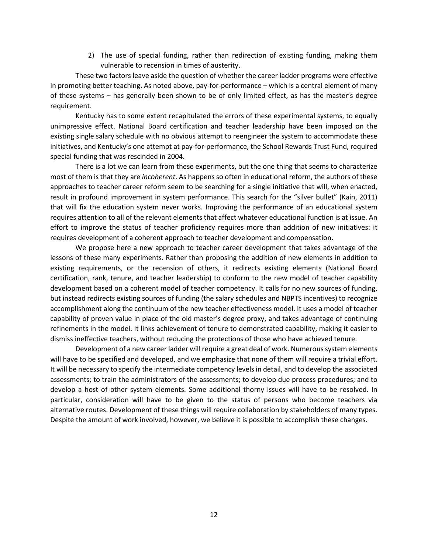2) The use of special funding, rather than redirection of existing funding, making them vulnerable to recension in times of austerity.

These two factors leave aside the question of whether the career ladder programs were effective in promoting better teaching. As noted above, pay-for-performance – which is a central element of many of these systems – has generally been shown to be of only limited effect, as has the master's degree requirement.

Kentucky has to some extent recapitulated the errors of these experimental systems, to equally unimpressive effect. National Board certification and teacher leadership have been imposed on the existing single salary schedule with no obvious attempt to reengineer the system to accommodate these initiatives, and Kentucky's one attempt at pay-for-performance, the School Rewards Trust Fund, required special funding that was rescinded in 2004.

There is a lot we can learn from these experiments, but the one thing that seems to characterize most of them is that they are *incoherent*. As happens so often in educational reform, the authors of these approaches to teacher career reform seem to be searching for a single initiative that will, when enacted, result in profound improvement in system performance. This search for the "silver bullet" (Kain, 2011) that will fix the education system never works. Improving the performance of an educational system requires attention to all of the relevant elements that affect whatever educational function is at issue. An effort to improve the status of teacher proficiency requires more than addition of new initiatives: it requires development of a coherent approach to teacher development and compensation.

We propose here a new approach to teacher career development that takes advantage of the lessons of these many experiments. Rather than proposing the addition of new elements in addition to existing requirements, or the recension of others, it redirects existing elements (National Board certification, rank, tenure, and teacher leadership) to conform to the new model of teacher capability development based on a coherent model of teacher competency. It calls for no new sources of funding, but instead redirects existing sources of funding (the salary schedules and NBPTS incentives) to recognize accomplishment along the continuum of the new teacher effectiveness model. It uses a model of teacher capability of proven value in place of the old master's degree proxy, and takes advantage of continuing refinements in the model. It links achievement of tenure to demonstrated capability, making it easier to dismiss ineffective teachers, without reducing the protections of those who have achieved tenure.

Development of a new career ladder will require a great deal of work. Numerous system elements will have to be specified and developed, and we emphasize that none of them will require a trivial effort. It will be necessary to specify the intermediate competency levels in detail, and to develop the associated assessments; to train the administrators of the assessments; to develop due process procedures; and to develop a host of other system elements. Some additional thorny issues will have to be resolved. In particular, consideration will have to be given to the status of persons who become teachers via alternative routes. Development of these things will require collaboration by stakeholders of many types. Despite the amount of work involved, however, we believe it is possible to accomplish these changes.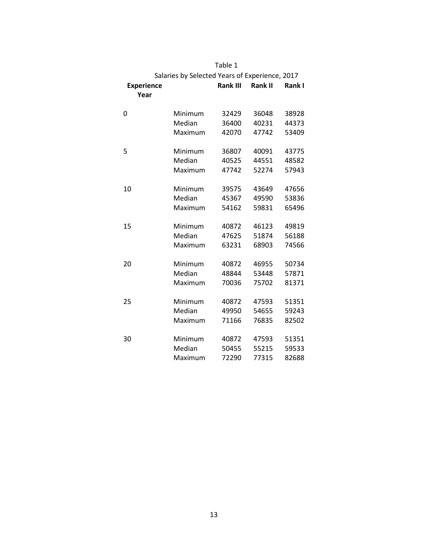|                                                |         | Table 1         |                |        |
|------------------------------------------------|---------|-----------------|----------------|--------|
| Salaries by Selected Years of Experience, 2017 |         |                 |                |        |
| <b>Experience</b>                              |         | <b>Rank III</b> | <b>Rank II</b> | Rank I |
| Year                                           |         |                 |                |        |
|                                                |         |                 |                |        |
| 0                                              | Minimum | 32429           | 36048          | 38928  |
|                                                | Median  | 36400           | 40231          | 44373  |
|                                                | Maximum | 42070           | 47742          | 53409  |
|                                                |         |                 |                |        |
| 5                                              | Minimum | 36807           | 40091          | 43775  |
|                                                | Median  | 40525           | 44551          | 48582  |
|                                                | Maximum | 47742           | 52274          | 57943  |
|                                                |         |                 |                |        |
| 10                                             | Minimum | 39575           | 43649          | 47656  |
|                                                | Median  | 45367           | 49590          | 53836  |
|                                                | Maximum | 54162           | 59831          | 65496  |
|                                                |         |                 |                |        |
| 15                                             | Minimum | 40872           | 46123          | 49819  |
|                                                | Median  | 47625           | 51874          | 56188  |
|                                                | Maximum | 63231           | 68903          | 74566  |
|                                                |         |                 |                |        |
| 20                                             | Minimum | 40872           | 46955          | 50734  |
|                                                | Median  | 48844           | 53448          | 57871  |
|                                                | Maximum | 70036           | 75702          | 81371  |
|                                                |         |                 |                |        |
| 25                                             | Minimum | 40872           | 47593          | 51351  |
|                                                | Median  | 49950           | 54655          | 59243  |
|                                                | Maximum | 71166           | 76835          | 82502  |
|                                                |         |                 |                |        |
| 30                                             | Minimum | 40872           | 47593          | 51351  |
|                                                | Median  | 50455           | 55215          | 59533  |
|                                                | Maximum | 72290           | 77315          | 82688  |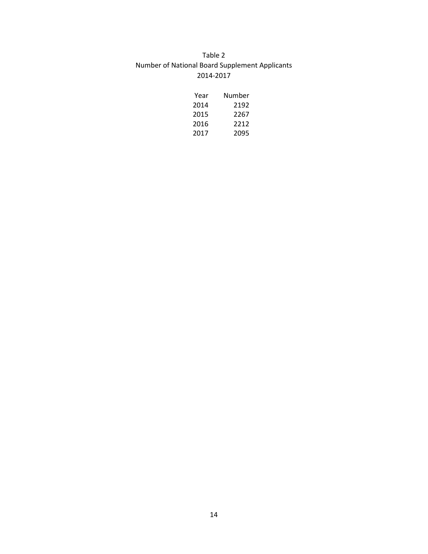# Table 2 Number of National Board Supplement Applicants 2014-2017

| Year | Number |
|------|--------|
| 2014 | 2192   |
| 2015 | 2267   |
| 2016 | 2212   |
| 2017 | 2095   |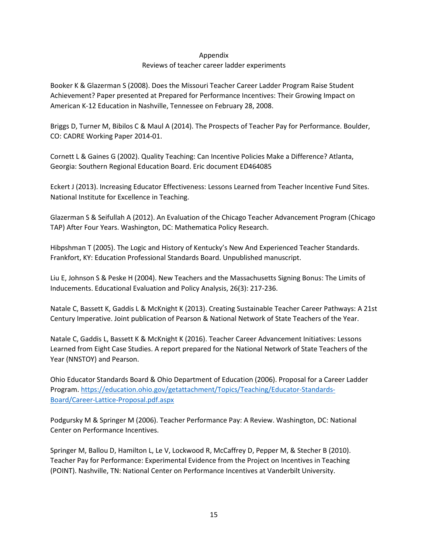### Appendix

### Reviews of teacher career ladder experiments

Booker K & Glazerman S (2008). Does the Missouri Teacher Career Ladder Program Raise Student Achievement? Paper presented at Prepared for Performance Incentives: Their Growing Impact on American K-12 Education in Nashville, Tennessee on February 28, 2008.

Briggs D, Turner M, Bibilos C & Maul A (2014). The Prospects of Teacher Pay for Performance. Boulder, CO: CADRE Working Paper 2014-01.

Cornett L & Gaines G (2002). Quality Teaching: Can Incentive Policies Make a Difference? Atlanta, Georgia: Southern Regional Education Board. Eric document ED464085

Eckert J (2013). Increasing Educator Effectiveness: Lessons Learned from Teacher Incentive Fund Sites. National Institute for Excellence in Teaching.

Glazerman S & Seifullah A (2012). An Evaluation of the Chicago Teacher Advancement Program (Chicago TAP) After Four Years. Washington, DC: Mathematica Policy Research.

Hibpshman T (2005). The Logic and History of Kentucky's New And Experienced Teacher Standards. Frankfort, KY: Education Professional Standards Board. Unpublished manuscript.

Liu E, Johnson S & Peske H (2004). New Teachers and the Massachusetts Signing Bonus: The Limits of Inducements. Educational Evaluation and Policy Analysis, 26(3): 217-236.

Natale C, Bassett K, Gaddis L & McKnight K (2013). Creating Sustainable Teacher Career Pathways: A 21st Century Imperative. Joint publication of Pearson & National Network of State Teachers of the Year.

Natale C, Gaddis L, Bassett K & McKnight K (2016). Teacher Career Advancement Initiatives: Lessons Learned from Eight Case Studies. A report prepared for the National Network of State Teachers of the Year (NNSTOY) and Pearson.

Ohio Educator Standards Board & Ohio Department of Education (2006). Proposal for a Career Ladder Program. [https://education.ohio.gov/getattachment/Topics/Teaching/Educator-Standards-](https://education.ohio.gov/getattachment/Topics/Teaching/Educator-Standards-Board/Career-Lattice-Proposal.pdf.aspx)[Board/Career-Lattice-Proposal.pdf.aspx](https://education.ohio.gov/getattachment/Topics/Teaching/Educator-Standards-Board/Career-Lattice-Proposal.pdf.aspx)

Podgursky M & Springer M (2006). Teacher Performance Pay: A Review. Washington, DC: National Center on Performance Incentives.

Springer M, Ballou D, Hamilton L, Le V, Lockwood R, McCaffrey D, Pepper M, & Stecher B (2010). Teacher Pay for Performance: Experimental Evidence from the Project on Incentives in Teaching (POINT). Nashville, TN: National Center on Performance Incentives at Vanderbilt University.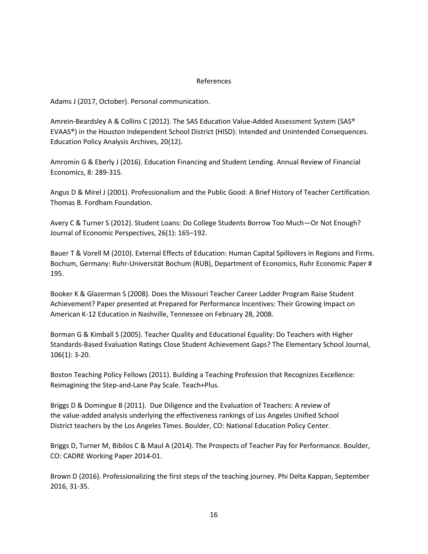### References

Adams J (2017, October). Personal communication.

Amrein-Beardsley A & Collins C (2012). The SAS Education Value-Added Assessment System (SAS® EVAAS®) in the Houston Independent School District (HISD): Intended and Unintended Consequences. Education Policy Analysis Archives, 20(12).

Amromin G & Eberly J (2016). Education Financing and Student Lending. Annual Review of Financial Economics, 8: 289-315.

Angus D & Mirel J (2001). Professionalism and the Public Good: A Brief History of Teacher Certification. Thomas B. Fordham Foundation.

Avery C & Turner S (2012). Student Loans: Do College Students Borrow Too Much—Or Not Enough? Journal of Economic Perspectives, 26(1): 165–192.

Bauer T & Vorell M (2010). External Effects of Education: Human Capital Spillovers in Regions and Firms. Bochum, Germany: Ruhr-Universität Bochum (RUB), Department of Economics, Ruhr Economic Paper # 195.

Booker K & Glazerman S (2008). Does the Missouri Teacher Career Ladder Program Raise Student Achievement? Paper presented at Prepared for Performance Incentives: Their Growing Impact on American K-12 Education in Nashville, Tennessee on February 28, 2008.

Borman G & Kimball S (2005). Teacher Quality and Educational Equality: Do Teachers with Higher Standards-Based Evaluation Ratings Close Student Achievement Gaps? The Elementary School Journal, 106(1): 3-20.

Boston Teaching Policy Fellows (2011). Building a Teaching Profession that Recognizes Excellence: Reimagining the Step-and-Lane Pay Scale. Teach+Plus.

Briggs D & Domingue B (2011). Due Diligence and the Evaluation of Teachers: A review of the value-added analysis underlying the effectiveness rankings of Los Angeles Unified School District teachers by the Los Angeles Times. Boulder, CO: National Education Policy Center.

Briggs D, Turner M, Bibilos C & Maul A (2014). The Prospects of Teacher Pay for Performance. Boulder, CO: CADRE Working Paper 2014-01.

Brown D (2016). Professionalizing the first steps of the teaching journey. Phi Delta Kappan, September 2016, 31-35.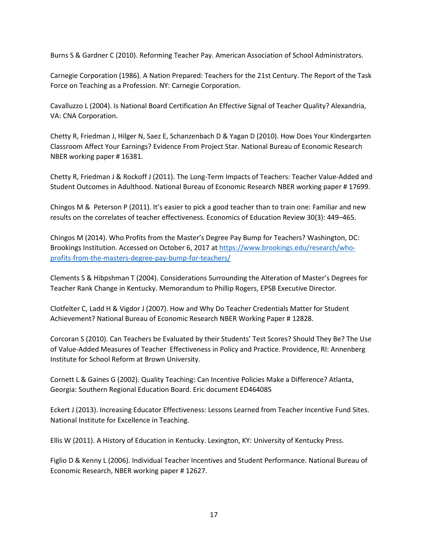Burns S & Gardner C (2010). Reforming Teacher Pay. American Association of School Administrators.

Carnegie Corporation (1986). A Nation Prepared: Teachers for the 21st Century. The Report of the Task Force on Teaching as a Profession. NY: Carnegie Corporation.

Cavalluzzo L (2004). Is National Board Certification An Effective Signal of Teacher Quality? Alexandria, VA: CNA Corporation.

Chetty R, Friedman J, Hilger N, Saez E, Schanzenbach D & Yagan D (2010). How Does Your Kindergarten Classroom Affect Your Earnings? Evidence From Project Star. National Bureau of Economic Research NBER working paper # 16381.

Chetty R, Friedman J & Rockoff J (2011). The Long-Term Impacts of Teachers: Teacher Value-Added and Student Outcomes in Adulthood. National Bureau of Economic Research NBER working paper # 17699.

Chingos M & Peterson P (2011). It's easier to pick a good teacher than to train one: Familiar and new results on the correlates of teacher effectiveness. Economics of Education Review 30(3): 449–465.

Chingos M (2014). Who Profits from the Master's Degree Pay Bump for Teachers? Washington, DC: Brookings Institution. Accessed on October 6, 2017 at [https://www.brookings.edu/research/who](https://www.brookings.edu/research/who-profits-from-the-masters-degree-pay-bump-for-teachers/)[profits-from-the-masters-degree-pay-bump-for-teachers/](https://www.brookings.edu/research/who-profits-from-the-masters-degree-pay-bump-for-teachers/)

Clements S & Hibpshman T (2004). Considerations Surrounding the Alteration of Master's Degrees for Teacher Rank Change in Kentucky. Memorandum to Phillip Rogers, EPSB Executive Director.

Clotfelter C, Ladd H & Vigdor J (2007). How and Why Do Teacher Credentials Matter for Student Achievement? National Bureau of Economic Research NBER Working Paper # 12828.

Corcoran S (2010). Can Teachers be Evaluated by their Students' Test Scores? Should They Be? The Use of Value-Added Measures of Teacher Effectiveness in Policy and Practice. Providence, RI: Annenberg Institute for School Reform at Brown University.

Cornett L & Gaines G (2002). Quality Teaching: Can Incentive Policies Make a Difference? Atlanta, Georgia: Southern Regional Education Board. Eric document ED464085

Eckert J (2013). Increasing Educator Effectiveness: Lessons Learned from Teacher Incentive Fund Sites. National Institute for Excellence in Teaching.

Ellis W (2011). A History of Education in Kentucky. Lexington, KY: University of Kentucky Press.

Figlio D & Kenny L (2006). Individual Teacher Incentives and Student Performance. National Bureau of Economic Research, NBER working paper # 12627.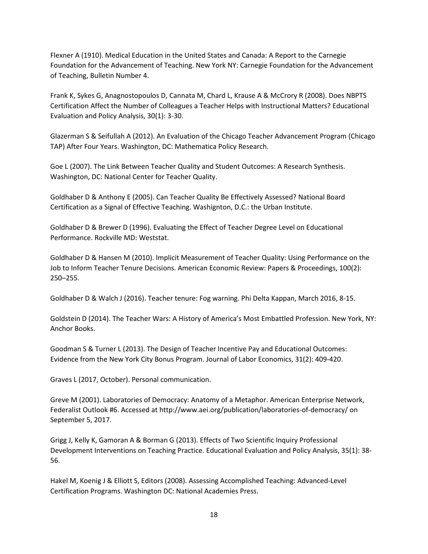Flexner A (1910). Medical Education in the United States and Canada: A Report to the Carnegie Foundation for the Advancement of Teaching. New York NY: Carnegie Foundation for the Advancement of Teaching, Bulletin Number 4.

Frank K, Sykes G, Anagnostopoulos D, Cannata M, Chard L, Krause A & McCrory R (2008). Does NBPTS Certification Affect the Number of Colleagues a Teacher Helps with Instructional Matters? Educational Evaluation and Policy Analysis, 30(1): 3-30.

Glazerman S & Seifullah A (2012). An Evaluation of the Chicago Teacher Advancement Program (Chicago TAP) After Four Years. Washington, DC: Mathematica Policy Research.

Goe L (2007). The Link Between Teacher Quality and Student Outcomes: A Research Synthesis. Washington, DC: National Center for Teacher Quality.

Goldhaber D & Anthony E (2005). Can Teacher Quality Be Effectively Assessed? National Board Certification as a Signal of Effective Teaching. Washignton, D.C.: the Urban Institute.

Goldhaber D & Brewer D (1996). Evaluating the Effect of Teacher Degree Level on Educational Performance. Rockville MD: Weststat.

Goldhaber D & Hansen M (2010). Implicit Measurement of Teacher Quality: Using Performance on the Job to Inform Teacher Tenure Decisions. American Economic Review: Papers & Proceedings, 100(2): 250–255.

Goldhaber D & Walch J (2016). Teacher tenure: Fog warning. Phi Delta Kappan, March 2016, 8-15.

Goldstein D (2014). The Teacher Wars: A History of America's Most Embattled Profession. New York, NY: Anchor Books.

Goodman S & Turner L (2013). The Design of Teacher Incentive Pay and Educational Outcomes: Evidence from the New York City Bonus Program. Journal of Labor Economics, 31(2): 409-420.

Graves L (2017, October). Personal communication.

Greve M (2001). Laboratories of Democracy: Anatomy of a Metaphor. American Enterprise Network, Federalist Outlook #6. Accessed at http://www.aei.org/publication/laboratories-of-democracy/ on September 5, 2017.

Grigg J, Kelly K, Gamoran A & Borman G (2013). Effects of Two Scientific Inquiry Professional Development Interventions on Teaching Practice. Educational Evaluation and Policy Analysis, 35(1): 38- 56.

Hakel M, Koenig J & Elliott S, Editors (2008). Assessing Accomplished Teaching: Advanced-Level Certification Programs. Washington DC: National Academies Press.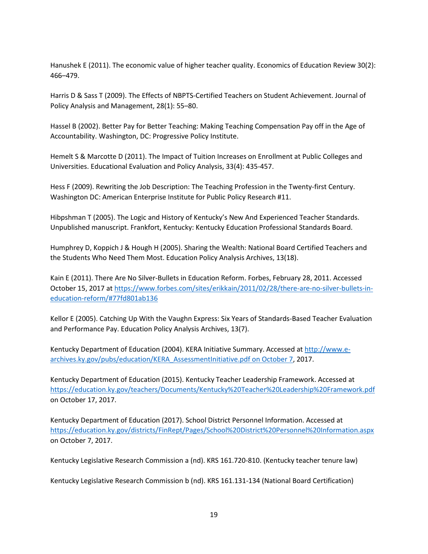Hanushek E (2011). The economic value of higher teacher quality. Economics of Education Review 30(2): 466–479.

Harris D & Sass T (2009). The Effects of NBPTS-Certified Teachers on Student Achievement. Journal of Policy Analysis and Management, 28(1): 55–80.

Hassel B (2002). Better Pay for Better Teaching: Making Teaching Compensation Pay off in the Age of Accountability. Washington, DC: Progressive Policy Institute.

Hemelt S & Marcotte D (2011). The Impact of Tuition Increases on Enrollment at Public Colleges and Universities. Educational Evaluation and Policy Analysis, 33(4): 435-457.

Hess F (2009). Rewriting the Job Description: The Teaching Profession in the Twenty-first Century. Washington DC: American Enterprise Institute for Public Policy Research #11.

Hibpshman T (2005). The Logic and History of Kentucky's New And Experienced Teacher Standards. Unpublished manuscript. Frankfort, Kentucky: Kentucky Education Professional Standards Board.

Humphrey D, Koppich J & Hough H (2005). Sharing the Wealth: National Board Certified Teachers and the Students Who Need Them Most. Education Policy Analysis Archives, 13(18).

Kain E (2011). There Are No Silver-Bullets in Education Reform. Forbes, February 28, 2011. Accessed October 15, 2017 a[t https://www.forbes.com/sites/erikkain/2011/02/28/there-are-no-silver-bullets-in](https://www.forbes.com/sites/erikkain/2011/02/28/there-are-no-silver-bullets-in-education-reform/#77fd801ab136)[education-reform/#77fd801ab136](https://www.forbes.com/sites/erikkain/2011/02/28/there-are-no-silver-bullets-in-education-reform/#77fd801ab136)

Kellor E (2005). Catching Up With the Vaughn Express: Six Years of Standards-Based Teacher Evaluation and Performance Pay. Education Policy Analysis Archives, 13(7).

Kentucky Department of Education (2004). KERA Initiative Summary. Accessed at [http://www.e](http://www.e-archives.ky.gov/pubs/education/KERA_AssessmentInitiative.pdf%20on%20October%207)[archives.ky.gov/pubs/education/KERA\\_AssessmentInitiative.pdf on October 7,](http://www.e-archives.ky.gov/pubs/education/KERA_AssessmentInitiative.pdf%20on%20October%207) 2017.

Kentucky Department of Education (2015). Kentucky Teacher Leadership Framework. Accessed at <https://education.ky.gov/teachers/Documents/Kentucky%20Teacher%20Leadership%20Framework.pdf> on October 17, 2017.

Kentucky Department of Education (2017). School District Personnel Information. Accessed at <https://education.ky.gov/districts/FinRept/Pages/School%20District%20Personnel%20Information.aspx> on October 7, 2017.

Kentucky Legislative Research Commission a (nd). KRS 161.720-810. (Kentucky teacher tenure law)

Kentucky Legislative Research Commission b (nd). KRS 161.131-134 (National Board Certification)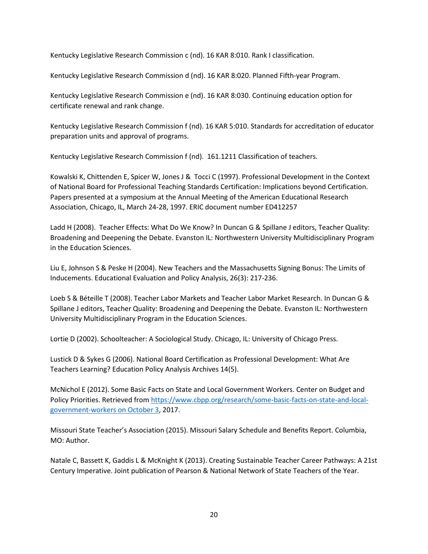Kentucky Legislative Research Commission c (nd). 16 KAR 8:010. Rank I classification.

Kentucky Legislative Research Commission d (nd). 16 KAR 8:020. Planned Fifth-year Program.

Kentucky Legislative Research Commission e (nd). 16 KAR 8:030. Continuing education option for certificate renewal and rank change.

Kentucky Legislative Research Commission f (nd). 16 KAR 5:010. Standards for accreditation of educator preparation units and approval of programs.

Kentucky Legislative Research Commission f (nd). 161.1211 Classification of teachers.

Kowalski K, Chittenden E, Spicer W, Jones J & Tocci C (1997). Professional Development in the Context of National Board for Professional Teaching Standards Certification: Implications beyond Certification. Papers presented at a symposium at the Annual Meeting of the American Educational Research Association, Chicago, IL, March 24-28, 1997. ERIC document number ED412257

Ladd H (2008). Teacher Effects: What Do We Know? In Duncan G & Spillane J editors, Teacher Quality: Broadening and Deepening the Debate. Evanston IL: Northwestern University Multidisciplinary Program in the Education Sciences.

Liu E, Johnson S & Peske H (2004). New Teachers and the Massachusetts Signing Bonus: The Limits of Inducements. Educational Evaluation and Policy Analysis, 26(3): 217-236.

Loeb S & Béteille T (2008). Teacher Labor Markets and Teacher Labor Market Research. In Duncan G & Spillane J editors, Teacher Quality: Broadening and Deepening the Debate. Evanston IL: Northwestern University Multidisciplinary Program in the Education Sciences.

Lortie D (2002). Schoolteacher: A Sociological Study. Chicago, IL: University of Chicago Press.

Lustick D & Sykes G (2006). National Board Certification as Professional Development: What Are Teachers Learning? Education Policy Analysis Archives 14(5).

McNichol E (2012). Some Basic Facts on State and Local Government Workers. Center on Budget and Policy Priorities. Retrieved from [https://www.cbpp.org/research/some-basic-facts-on-state-and-local](https://www.cbpp.org/research/some-basic-facts-on-state-and-local-government-workers%20on%20October%203)[government-workers on October 3,](https://www.cbpp.org/research/some-basic-facts-on-state-and-local-government-workers%20on%20October%203) 2017.

Missouri State Teacher's Association (2015). Missouri Salary Schedule and Benefits Report. Columbia, MO: Author.

Natale C, Bassett K, Gaddis L & McKnight K (2013). Creating Sustainable Teacher Career Pathways: A 21st Century Imperative. Joint publication of Pearson & National Network of State Teachers of the Year.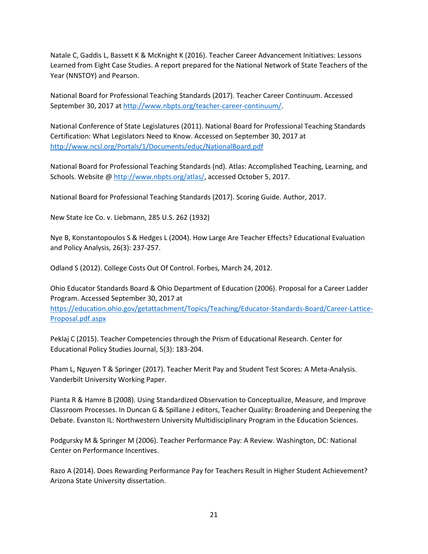Natale C, Gaddis L, Bassett K & McKnight K (2016). Teacher Career Advancement Initiatives: Lessons Learned from Eight Case Studies. A report prepared for the National Network of State Teachers of the Year (NNSTOY) and Pearson.

National Board for Professional Teaching Standards (2017). Teacher Career Continuum. Accessed September 30, 2017 a[t http://www.nbpts.org/teacher-career-continuum/.](http://www.nbpts.org/teacher-career-continuum/)

National Conference of State Legislatures (2011). National Board for Professional Teaching Standards Certification: What Legislators Need to Know. Accessed on September 30, 2017 at <http://www.ncsl.org/Portals/1/Documents/educ/NationalBoard.pdf>

National Board for Professional Teaching Standards (nd). Atlas: Accomplished Teaching, Learning, and Schools. Website @ [http://www.nbpts.org/atlas/,](http://www.nbpts.org/atlas/) accessed October 5, 2017.

National Board for Professional Teaching Standards (2017). Scoring Guide. Author, 2017.

New State Ice Co. v. Liebmann, 285 U.S. 262 (1932)

Nye B, Konstantopoulos S & Hedges L (2004). How Large Are Teacher Effects? Educational Evaluation and Policy Analysis, 26(3): 237-257.

Odland S (2012). College Costs Out Of Control. Forbes, March 24, 2012.

Ohio Educator Standards Board & Ohio Department of Education (2006). Proposal for a Career Ladder Program. Accessed September 30, 2017 at [https://education.ohio.gov/getattachment/Topics/Teaching/Educator-Standards-Board/Career-Lattice-](https://education.ohio.gov/getattachment/Topics/Teaching/Educator-Standards-Board/Career-Lattice-Proposal.pdf.aspx)

[Proposal.pdf.aspx](https://education.ohio.gov/getattachment/Topics/Teaching/Educator-Standards-Board/Career-Lattice-Proposal.pdf.aspx)

Peklaj C (2015). Teacher Competencies through the Prism of Educational Research. Center for Educational Policy Studies Journal, 5(3): 183-204.

Pham L, Nguyen T & Springer (2017). Teacher Merit Pay and Student Test Scores: A Meta-Analysis. Vanderbilt University Working Paper.

Pianta R & Hamre B (2008). Using Standardized Observation to Conceptualize, Measure, and Improve Classroom Processes. In Duncan G & Spillane J editors, Teacher Quality: Broadening and Deepening the Debate. Evanston IL: Northwestern University Multidisciplinary Program in the Education Sciences.

Podgursky M & Springer M (2006). Teacher Performance Pay: A Review. Washington, DC: National Center on Performance Incentives.

Razo A (2014). Does Rewarding Performance Pay for Teachers Result in Higher Student Achievement? Arizona State University dissertation.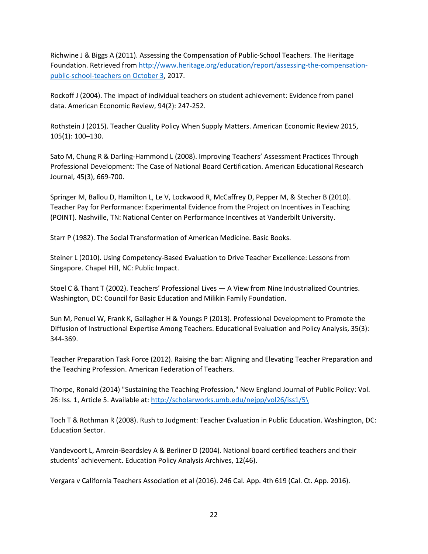Richwine J & Biggs A (2011). Assessing the Compensation of Public-School Teachers. The Heritage Foundation. Retrieved fro[m http://www.heritage.org/education/report/assessing-the-compensation](http://www.heritage.org/education/report/assessing-the-compensation-public-school-teachers%20on%20October%203)[public-school-teachers on October 3,](http://www.heritage.org/education/report/assessing-the-compensation-public-school-teachers%20on%20October%203) 2017.

Rockoff J (2004). The impact of individual teachers on student achievement: Evidence from panel data. American Economic Review, 94(2): 247-252.

Rothstein J (2015). Teacher Quality Policy When Supply Matters. American Economic Review 2015, 105(1): 100–130.

Sato M, Chung R & Darling-Hammond L (2008). Improving Teachers' Assessment Practices Through Professional Development: The Case of National Board Certification. American Educational Research Journal, 45(3), 669-700.

Springer M, Ballou D, Hamilton L, Le V, Lockwood R, McCaffrey D, Pepper M, & Stecher B (2010). Teacher Pay for Performance: Experimental Evidence from the Project on Incentives in Teaching (POINT). Nashville, TN: National Center on Performance Incentives at Vanderbilt University.

Starr P (1982). The Social Transformation of American Medicine. Basic Books.

Steiner L (2010). Using Competency-Based Evaluation to Drive Teacher Excellence: Lessons from Singapore. Chapel Hill, NC: Public Impact.

Stoel C & Thant T (2002). Teachers' Professional Lives — A View from Nine Industrialized Countries. Washington, DC: Council for Basic Education and Milikin Family Foundation.

Sun M, Penuel W, Frank K, Gallagher H & Youngs P (2013). Professional Development to Promote the Diffusion of Instructional Expertise Among Teachers. Educational Evaluation and Policy Analysis, 35(3): 344-369.

Teacher Preparation Task Force (2012). Raising the bar: Aligning and Elevating Teacher Preparation and the Teaching Profession. American Federation of Teachers.

Thorpe, Ronald (2014) "Sustaining the Teaching Profession," New England Journal of Public Policy: Vol. 26: Iss. 1, Article 5. Available at: [http://scholarworks.umb.edu/nejpp/vol26/iss1/5\](http://scholarworks.umb.edu/nejpp/vol26/iss1/5/)

Toch T & Rothman R (2008). Rush to Judgment: Teacher Evaluation in Public Education. Washington, DC: Education Sector.

Vandevoort L, Amrein-Beardsley A & Berliner D (2004). National board certified teachers and their students' achievement. Education Policy Analysis Archives, 12(46).

Vergara v California Teachers Association et al (2016). 246 Cal. App. 4th 619 (Cal. Ct. App. 2016).